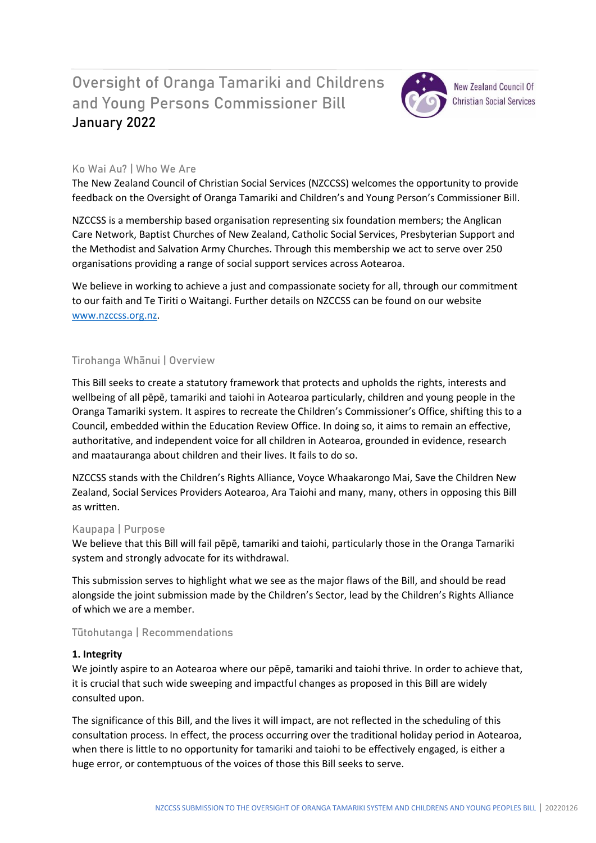# Oversight of Oranga Tamariki and Childrens and Young Persons Commissioner Bill **January 2022**



**New Zealand Council Of Christian Social Services** 

## **Ko Wai Au? | Who We Are**

The New Zealand Council of Christian Social Services (NZCCSS) welcomes the opportunity to provide feedback on the Oversight of Oranga Tamariki and Children's and Young Person's Commissioner Bill.

NZCCSS is a membership based organisation representing six foundation members; the Anglican Care Network, Baptist Churches of New Zealand, Catholic Social Services, Presbyterian Support and the Methodist and Salvation Army Churches. Through this membership we act to serve over 250 organisations providing a range of social support services across Aotearoa.

We believe in working to achieve a just and compassionate society for all, through our commitment to our faith and Te Tiriti o Waitangi. Further details on NZCCSS can be found on our website [www.nzccss.org.nz.](http://www.nzccss.org.nz/)

## **Tirohanga Whānui | Overview**

This Bill seeks to create a statutory framework that protects and upholds the rights, interests and wellbeing of all pēpē, tamariki and taiohi in Aotearoa particularly, children and young people in the Oranga Tamariki system. It aspires to recreate the Children's Commissioner's Office, shifting this to a Council, embedded within the Education Review Office. In doing so, it aims to remain an effective, authoritative, and independent voice for all children in Aotearoa, grounded in evidence, research and maatauranga about children and their lives. It fails to do so.

NZCCSS stands with the Children's Rights Alliance, Voyce Whaakarongo Mai, Save the Children New Zealand, Social Services Providers Aotearoa, Ara Taiohi and many, many, others in opposing this Bill as written.

### **Kaupapa | Purpose**

We believe that this Bill will fail pēpē, tamariki and taiohi, particularly those in the Oranga Tamariki system and strongly advocate for its withdrawal.

This submission serves to highlight what we see as the major flaws of the Bill, and should be read alongside the joint submission made by the Children's Sector, lead by the Children's Rights Alliance of which we are a member.

### **Tūtohutanga | Recommendations**

### **1. Integrity**

We jointly aspire to an Aotearoa where our pēpē, tamariki and taiohi thrive. In order to achieve that, it is crucial that such wide sweeping and impactful changes as proposed in this Bill are widely consulted upon.

The significance of this Bill, and the lives it will impact, are not reflected in the scheduling of this consultation process. In effect, the process occurring over the traditional holiday period in Aotearoa, when there is little to no opportunity for tamariki and taiohi to be effectively engaged, is either a huge error, or contemptuous of the voices of those this Bill seeks to serve.